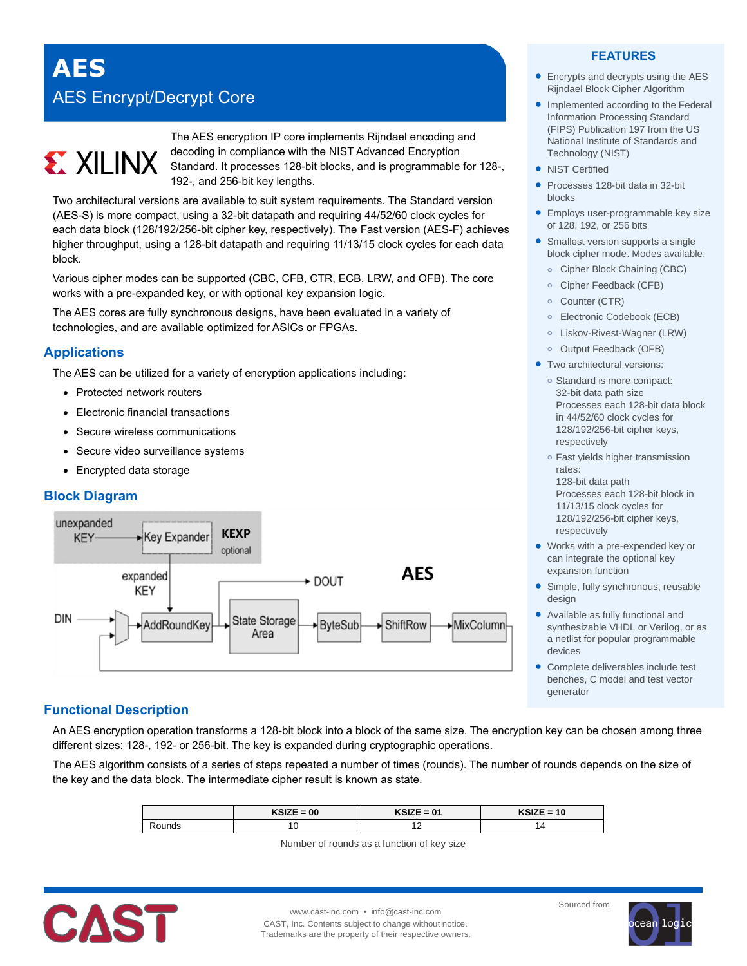# **AES** AES Encrypt/Decrypt Core

# **EX XILINX**

The AES encryption IP core implements Rijndael encoding and decoding in compliance with the NIST Advanced Encryption Standard. It processes 128-bit blocks, and is programmable for 128-, 192-, and 256-bit key lengths.

Two architectural versions are available to suit system requirements. The Standard version (AES-S) is more compact, using a 32-bit datapath and requiring 44/52/60 clock cycles for each data block (128/192/256-bit cipher key, respectively). The Fast version (AES-F) achieves higher throughput, using a 128-bit datapath and requiring 11/13/15 clock cycles for each data block.

Various cipher modes can be supported (CBC, CFB, CTR, ECB, LRW, and OFB). The core works with a pre-expanded key, or with optional key expansion logic.

The AES cores are fully synchronous designs, have been evaluated in a variety of technologies, and are available optimized for ASICs or FPGAs.

# **Applications**

The AES can be utilized for a variety of encryption applications including:

- Protected network routers
- Electronic financial transactions
- Secure wireless communications
- Secure video surveillance systems
- Encrypted data storage

# **Block Diagram**



# **Functional Description**

An AES encryption operation transforms a 128-bit block into a block of the same size. The encryption key can be chosen among three different sizes: 128-, 192- or 256-bit. The key is expanded during cryptographic operations.

The AES algorithm consists of a series of steps repeated a number of times (rounds). The number of rounds depends on the size of the key and the data block. The intermediate cipher result is known as state.

|       | $KSIZE = 00$ | KSIZE = 01 | $KSIZE = 10$ |
|-------|--------------|------------|--------------|
| ounds | v            |            |              |

Number of rounds as a function of key size



www.cast-inc.com • info@cast-inc.com CAST, Inc. Contents subject to change without notice. Trademarks are the property of their respective owners.

# **FEATURES**

- Encrypts and decrypts using the AES Rijndael Block Cipher Algorithm
- Implemented according to the Federal Information Processing Standard (FIPS) Publication 197 from the US National Institute of Standards and Technology (NIST)
- NIST Certified
- Processes 128-bit data in 32-bit blocks
- **Employs user-programmable key size** of 128, 192, or 256 bits
- Smallest version supports a single block cipher mode. Modes available:
	- **o** Cipher Block Chaining (CBC)
	- **o** Cipher Feedback (CFB)
	- **o** Counter (CTR)
	- **o** Electronic Codebook (ECB)
	- **o** Liskov-Rivest-Wagner (LRW)
	- **o** Output Feedback (OFB)
- **•** Two architectural versions:
	- **o** Standard is more compact: 32-bit data path size Processes each 128-bit data block in 44/52/60 clock cycles for 128/192/256-bit cipher keys, respectively
	- **o** Fast yields higher transmission rates:
	- 128-bit data path Processes each 128-bit block in 11/13/15 clock cycles for 128/192/256-bit cipher keys, respectively
- Works with a pre-expended key or can integrate the optional key expansion function
- Simple, fully synchronous, reusable design
- Available as fully functional and synthesizable VHDL or Verilog, or as a netlist for popular programmable devices
- Complete deliverables include test benches, C model and test vector generator

Sourced from